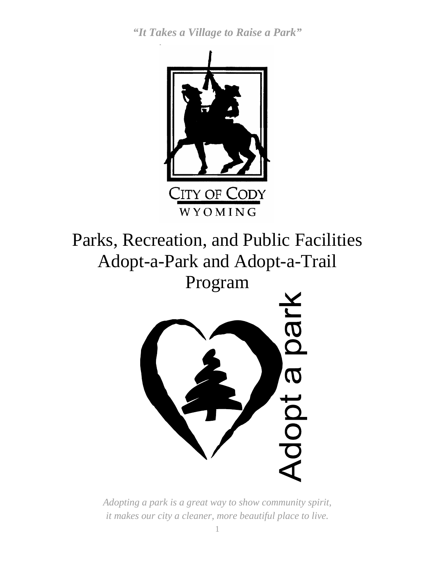

Parks, Recreation, and Public Facilities Adopt-a-Park and Adopt-a-Trail Program



*Adopting a park is a great way to show community spirit, it makes our city a cleaner, more beautiful place to live.*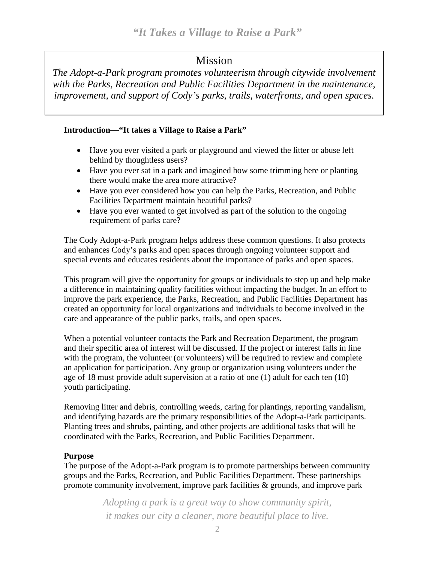## Mission

*The Adopt-a-Park program promotes volunteerism through citywide involvement with the Parks, Recreation and Public Facilities Department in the maintenance, improvement, and support of Cody's parks, trails, waterfronts, and open spaces.* 

#### **Introduction—"It takes a Village to Raise a Park"**

- Have you ever visited a park or playground and viewed the litter or abuse left behind by thoughtless users?
- Have you ever sat in a park and imagined how some trimming here or planting there would make the area more attractive?
- Have you ever considered how you can help the Parks, Recreation, and Public Facilities Department maintain beautiful parks?
- Have you ever wanted to get involved as part of the solution to the ongoing requirement of parks care?

The Cody Adopt-a-Park program helps address these common questions. It also protects and enhances Cody's parks and open spaces through ongoing volunteer support and special events and educates residents about the importance of parks and open spaces.

This program will give the opportunity for groups or individuals to step up and help make a difference in maintaining quality facilities without impacting the budget. In an effort to improve the park experience, the Parks, Recreation, and Public Facilities Department has created an opportunity for local organizations and individuals to become involved in the care and appearance of the public parks, trails, and open spaces.

When a potential volunteer contacts the Park and Recreation Department, the program and their specific area of interest will be discussed. If the project or interest falls in line with the program, the volunteer (or volunteers) will be required to review and complete an application for participation. Any group or organization using volunteers under the age of 18 must provide adult supervision at a ratio of one (1) adult for each ten (10) youth participating.

Removing litter and debris, controlling weeds, caring for plantings, reporting vandalism, and identifying hazards are the primary responsibilities of the Adopt-a-Park participants. Planting trees and shrubs, painting, and other projects are additional tasks that will be coordinated with the Parks, Recreation, and Public Facilities Department.

#### **Purpose**

The purpose of the Adopt-a-Park program is to promote partnerships between community groups and the Parks, Recreation, and Public Facilities Department. These partnerships promote community involvement, improve park facilities & grounds, and improve park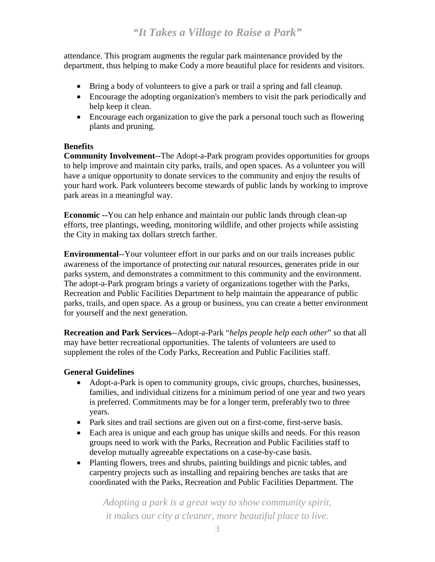attendance. This program augments the regular park maintenance provided by the department, thus helping to make Cody a more beautiful place for residents and visitors.

- Bring a body of volunteers to give a park or trail a spring and fall cleanup.
- Encourage the adopting organization's members to visit the park periodically and help keep it clean.
- Encourage each organization to give the park a personal touch such as flowering plants and pruning.

#### **Benefits**

**Community Involvement--**The Adopt-a-Park program provides opportunities for groups to help improve and maintain city parks, trails, and open spaces. As a volunteer you will have a unique opportunity to donate services to the community and enjoy the results of your hard work. Park volunteers become stewards of public lands by working to improve park areas in a meaningful way.

**Economic --**You can help enhance and maintain our public lands through clean-up efforts, tree plantings, weeding, monitoring wildlife, and other projects while assisting the City in making tax dollars stretch farther.

**Environmental**--Your volunteer effort in our parks and on our trails increases public awareness of the importance of protecting our natural resources, generates pride in our parks system, and demonstrates a commitment to this community and the environment. The adopt-a-Park program brings a variety of organizations together with the Parks, Recreation and Public Facilities Department to help maintain the appearance of public parks, trails, and open space. As a group or business, you can create a better environment for yourself and the next generation.

**Recreation and Park Services**--Adopt-a-Park "*helps people help each other*" so that all may have better recreational opportunities. The talents of volunteers are used to supplement the roles of the Cody Parks, Recreation and Public Facilities staff.

#### **General Guidelines**

- Adopt-a-Park is open to community groups, civic groups, churches, businesses, families, and individual citizens for a minimum period of one year and two years is preferred. Commitments may be for a longer term, preferably two to three years.
- Park sites and trail sections are given out on a first-come, first-serve basis.
- Each area is unique and each group has unique skills and needs. For this reason groups need to work with the Parks, Recreation and Public Facilities staff to develop mutually agreeable expectations on a case-by-case basis.
- Planting flowers, trees and shrubs, painting buildings and picnic tables, and carpentry projects such as installing and repairing benches are tasks that are coordinated with the Parks, Recreation and Public Facilities Department. The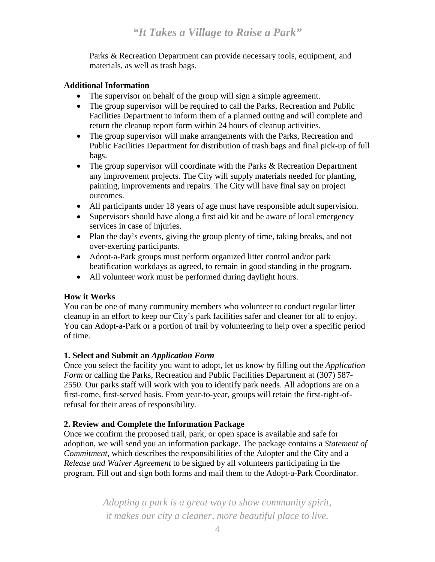Parks & Recreation Department can provide necessary tools, equipment, and materials, as well as trash bags.

#### **Additional Information**

- The supervisor on behalf of the group will sign a simple agreement.
- The group supervisor will be required to call the Parks, Recreation and Public Facilities Department to inform them of a planned outing and will complete and return the cleanup report form within 24 hours of cleanup activities.
- The group supervisor will make arrangements with the Parks, Recreation and Public Facilities Department for distribution of trash bags and final pick-up of full bags.
- The group supervisor will coordinate with the Parks & Recreation Department any improvement projects. The City will supply materials needed for planting, painting, improvements and repairs. The City will have final say on project outcomes.
- All participants under 18 years of age must have responsible adult supervision.
- Supervisors should have along a first aid kit and be aware of local emergency services in case of injuries.
- Plan the day's events, giving the group plenty of time, taking breaks, and not over-exerting participants.
- Adopt-a-Park groups must perform organized litter control and/or park beatification workdays as agreed, to remain in good standing in the program.
- All volunteer work must be performed during daylight hours.

#### **How it Works**

You can be one of many community members who volunteer to conduct regular litter cleanup in an effort to keep our City's park facilities safer and cleaner for all to enjoy. You can Adopt-a-Park or a portion of trail by volunteering to help over a specific period of time.

#### **1. Select and Submit an** *Application Form*

Once you select the facility you want to adopt, let us know by filling out the *Application Form* or calling the Parks, Recreation and Public Facilities Department at (307) 587-2550. Our parks staff will work with you to identify park needs. All adoptions are on a first-come, first-served basis. From year-to-year, groups will retain the first-right-ofrefusal for their areas of responsibility.

#### **2. Review and Complete the Information Package**

Once we confirm the proposed trail, park, or open space is available and safe for adoption, we will send you an information package. The package contains a *Statement of Commitment*, which describes the responsibilities of the Adopter and the City and a *Release and Waiver Agreement* to be signed by all volunteers participating in the program. Fill out and sign both forms and mail them to the Adopt-a-Park Coordinator.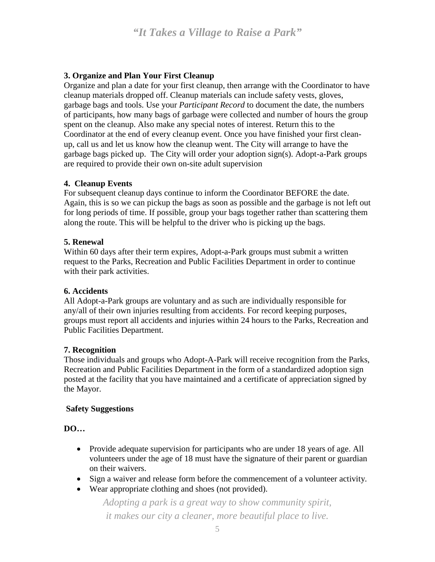#### **3. Organize and Plan Your First Cleanup**

Organize and plan a date for your first cleanup, then arrange with the Coordinator to have cleanup materials dropped off. Cleanup materials can include safety vests, gloves, garbage bags and tools. Use your *Participant Record* to document the date, the numbers of participants, how many bags of garbage were collected and number of hours the group spent on the cleanup. Also make any special notes of interest. Return this to the Coordinator at the end of every cleanup event. Once you have finished your first cleanup, call us and let us know how the cleanup went. The City will arrange to have the garbage bags picked up. The City will order your adoption sign(s). Adopt-a-Park groups are required to provide their own on-site adult supervision

#### **4. Cleanup Events**

For subsequent cleanup days continue to inform the Coordinator BEFORE the date. Again, this is so we can pickup the bags as soon as possible and the garbage is not left out for long periods of time. If possible, group your bags together rather than scattering them along the route. This will be helpful to the driver who is picking up the bags.

#### **5. Renewal**

Within 60 days after their term expires, Adopt-a-Park groups must submit a written request to the Parks, Recreation and Public Facilities Department in order to continue with their park activities.

#### **6. Accidents**

All Adopt-a-Park groups are voluntary and as such are individually responsible for any/all of their own injuries resulting from accidents. For record keeping purposes, groups must report all accidents and injuries within 24 hours to the Parks, Recreation and Public Facilities Department.

#### **7. Recognition**

Those individuals and groups who Adopt-A-Park will receive recognition from the Parks, Recreation and Public Facilities Department in the form of a standardized adoption sign posted at the facility that you have maintained and a certificate of appreciation signed by the Mayor.

#### **Safety Suggestions**

**DO…**

- Provide adequate supervision for participants who are under 18 years of age. All volunteers under the age of 18 must have the signature of their parent or guardian on their waivers.
- Sign a waiver and release form before the commencement of a volunteer activity.
- Wear appropriate clothing and shoes (not provided).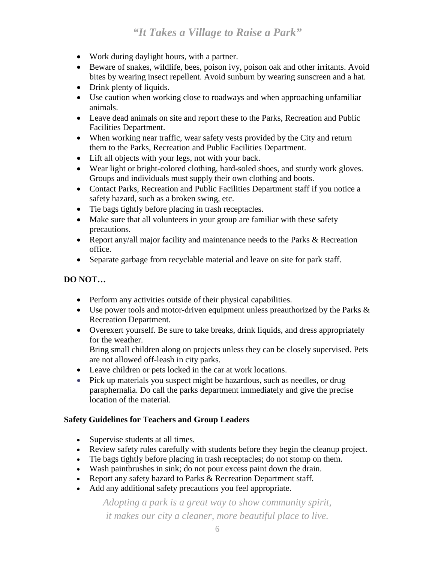- Work during daylight hours, with a partner.
- Beware of snakes, wildlife, bees, poison ivy, poison oak and other irritants. Avoid bites by wearing insect repellent. Avoid sunburn by wearing sunscreen and a hat.
- Drink plenty of liquids.
- Use caution when working close to roadways and when approaching unfamiliar animals.
- Leave dead animals on site and report these to the Parks, Recreation and Public Facilities Department.
- When working near traffic, wear safety vests provided by the City and return them to the Parks, Recreation and Public Facilities Department.
- Lift all objects with your legs, not with your back.
- Wear light or bright-colored clothing, hard-soled shoes, and sturdy work gloves. Groups and individuals must supply their own clothing and boots.
- Contact Parks, Recreation and Public Facilities Department staff if you notice a safety hazard, such as a broken swing, etc.
- Tie bags tightly before placing in trash receptacles.
- Make sure that all volunteers in your group are familiar with these safety precautions.
- Report any/all major facility and maintenance needs to the Parks & Recreation office.
- Separate garbage from recyclable material and leave on site for park staff.

#### **DO NOT…**

- Perform any activities outside of their physical capabilities.
- Use power tools and motor-driven equipment unless preauthorized by the Parks  $\&$ Recreation Department.
- Overexert yourself. Be sure to take breaks, drink liquids, and dress appropriately for the weather. Bring small children along on projects unless they can be closely supervised. Pets

are not allowed off-leash in city parks.

- Leave children or pets locked in the car at work locations.
- Pick up materials you suspect might be hazardous, such as needles, or drug paraphernalia. Do call the parks department immediately and give the precise location of the material.

#### **Safety Guidelines for Teachers and Group Leaders**

- Supervise students at all times.
- Review safety rules carefully with students before they begin the cleanup project.
- Tie bags tightly before placing in trash receptacles; do not stomp on them.
- Wash paintbrushes in sink; do not pour excess paint down the drain.
- Report any safety hazard to Parks & Recreation Department staff.
- Add any additional safety precautions you feel appropriate.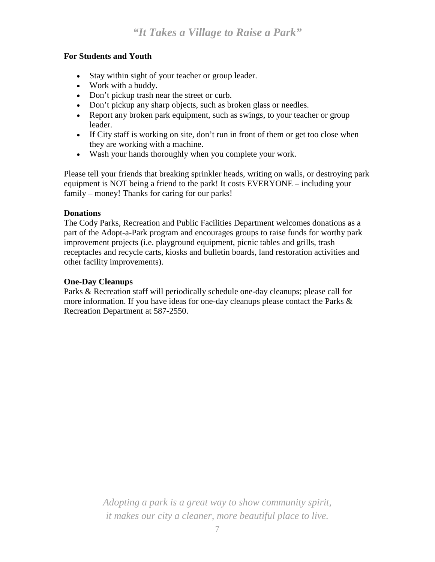#### **For Students and Youth**

- Stay within sight of your teacher or group leader.
- Work with a buddy.
- Don't pickup trash near the street or curb.
- Don't pickup any sharp objects, such as broken glass or needles.
- Report any broken park equipment, such as swings, to your teacher or group leader.
- If City staff is working on site, don't run in front of them or get too close when they are working with a machine.
- Wash your hands thoroughly when you complete your work.

Please tell your friends that breaking sprinkler heads, writing on walls, or destroying park equipment is NOT being a friend to the park! It costs EVERYONE – including your family – money! Thanks for caring for our parks!

#### **Donations**

The Cody Parks, Recreation and Public Facilities Department welcomes donations as a part of the Adopt-a-Park program and encourages groups to raise funds for worthy park improvement projects (i.e. playground equipment, picnic tables and grills, trash receptacles and recycle carts, kiosks and bulletin boards, land restoration activities and other facility improvements).

#### **One-Day Cleanups**

Parks & Recreation staff will periodically schedule one-day cleanups; please call for more information. If you have ideas for one-day cleanups please contact the Parks & Recreation Department at 587-2550.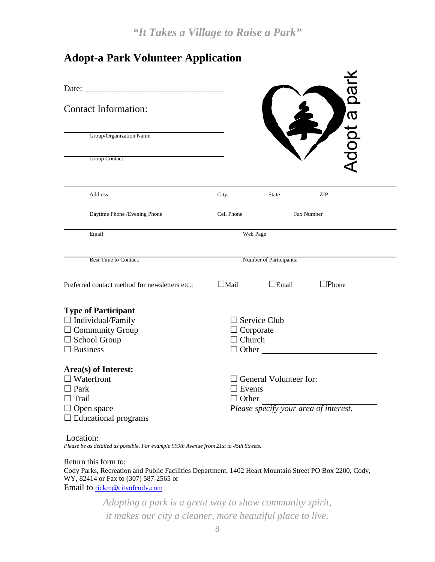# **Adopt-a Park Volunteer Application**

| Date:<br><b>Contact Information:</b><br>Group/Organization Name<br><b>Group Contact</b>                                      |                               |                                                                        | Adopt a pai     |  |
|------------------------------------------------------------------------------------------------------------------------------|-------------------------------|------------------------------------------------------------------------|-----------------|--|
| <b>Address</b>                                                                                                               | City,                         | <b>State</b>                                                           | ZIP             |  |
| Daytime Phone / Evening Phone                                                                                                | Cell Phone                    |                                                                        | Fax Number      |  |
| Email                                                                                                                        |                               | Web Page                                                               |                 |  |
| <b>Best Time to Contact:</b>                                                                                                 |                               | Number of Participants:                                                |                 |  |
| Preferred contact method for newsletters etc.:                                                                               | $\Box$ Mail                   | $\Box$ Email                                                           | $\square$ Phone |  |
| <b>Type of Participant</b>                                                                                                   |                               |                                                                        |                 |  |
| $\Box$ Individual/Family                                                                                                     |                               | $\Box$ Service Club                                                    |                 |  |
| $\Box$ Community Group                                                                                                       | $\Box$ Corporate              |                                                                        |                 |  |
| $\Box$ School Group                                                                                                          | $\Box$ Church                 |                                                                        |                 |  |
| $\Box$ Business                                                                                                              |                               | $\Box$ Other $\Box$                                                    |                 |  |
| Area(s) of Interest:<br>$\Box$ Waterfront<br>$\Box$ Park<br>$\Box$ Trail<br>$\Box$ Open space<br>$\Box$ Educational programs | $\Box$ Events<br>$\Box$ Other | $\Box$ General Volunteer for:<br>Please specify your area of interest. |                 |  |

#### Location:

*Please be as detailed as possible. For example 999th Avenue from 21st to 45th Streets.*

#### Return this form to:

Cody Parks, Recreation and Public Facilities Department, 1402 Heart Mountain Street PO Box 2200, Cody, WY, 82414 or Fax to (307) 587-2565 or Email to [rickm@cityofcody.com](mailto:rickm@cityofcody.com)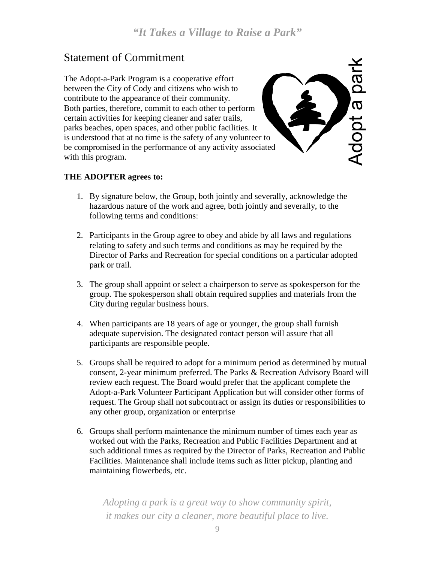Adopt a park

# Statement of Commitment

The Adopt-a-Park Program is a cooperative effort between the City of Cody and citizens who wish to contribute to the appearance of their community. Both parties, therefore, commit to each other to perform certain activities for keeping cleaner and safer trails, parks beaches, open spaces, and other public facilities. It is understood that at no time is the safety of any volunteer to be compromised in the performance of any activity associated with this program.

#### **THE ADOPTER agrees to:**

- 1. By signature below, the Group, both jointly and severally, acknowledge the hazardous nature of the work and agree, both jointly and severally, to the following terms and conditions:
- 2. Participants in the Group agree to obey and abide by all laws and regulations relating to safety and such terms and conditions as may be required by the Director of Parks and Recreation for special conditions on a particular adopted park or trail.
- 3. The group shall appoint or select a chairperson to serve as spokesperson for the group. The spokesperson shall obtain required supplies and materials from the City during regular business hours.
- 4. When participants are 18 years of age or younger, the group shall furnish adequate supervision. The designated contact person will assure that all participants are responsible people.
- 5. Groups shall be required to adopt for a minimum period as determined by mutual consent, 2-year minimum preferred. The Parks & Recreation Advisory Board will review each request. The Board would prefer that the applicant complete the Adopt-a-Park Volunteer Participant Application but will consider other forms of request. The Group shall not subcontract or assign its duties or responsibilities to any other group, organization or enterprise
- 6. Groups shall perform maintenance the minimum number of times each year as worked out with the Parks, Recreation and Public Facilities Department and at such additional times as required by the Director of Parks, Recreation and Public Facilities. Maintenance shall include items such as litter pickup, planting and maintaining flowerbeds, etc.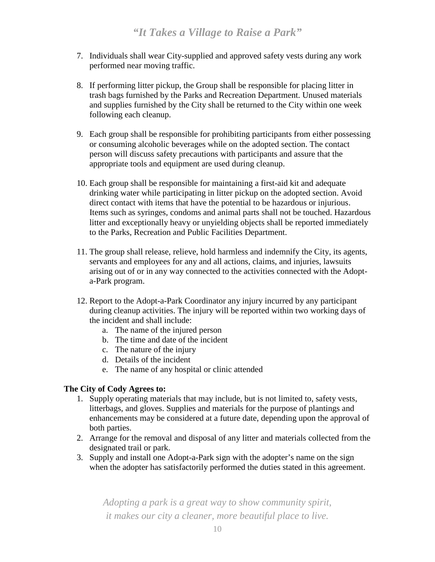- 7. Individuals shall wear City-supplied and approved safety vests during any work performed near moving traffic.
- 8. If performing litter pickup, the Group shall be responsible for placing litter in trash bags furnished by the Parks and Recreation Department. Unused materials and supplies furnished by the City shall be returned to the City within one week following each cleanup.
- 9. Each group shall be responsible for prohibiting participants from either possessing or consuming alcoholic beverages while on the adopted section. The contact person will discuss safety precautions with participants and assure that the appropriate tools and equipment are used during cleanup.
- 10. Each group shall be responsible for maintaining a first-aid kit and adequate drinking water while participating in litter pickup on the adopted section. Avoid direct contact with items that have the potential to be hazardous or injurious. Items such as syringes, condoms and animal parts shall not be touched. Hazardous litter and exceptionally heavy or unyielding objects shall be reported immediately to the Parks, Recreation and Public Facilities Department.
- 11. The group shall release, relieve, hold harmless and indemnify the City, its agents, servants and employees for any and all actions, claims, and injuries, lawsuits arising out of or in any way connected to the activities connected with the Adopta-Park program.
- 12. Report to the Adopt-a-Park Coordinator any injury incurred by any participant during cleanup activities. The injury will be reported within two working days of the incident and shall include:
	- a. The name of the injured person
	- b. The time and date of the incident
	- c. The nature of the injury
	- d. Details of the incident
	- e. The name of any hospital or clinic attended

#### **The City of Cody Agrees to:**

- 1. Supply operating materials that may include, but is not limited to, safety vests, litterbags, and gloves. Supplies and materials for the purpose of plantings and enhancements may be considered at a future date, depending upon the approval of both parties.
- 2. Arrange for the removal and disposal of any litter and materials collected from the designated trail or park.
- 3. Supply and install one Adopt-a-Park sign with the adopter's name on the sign when the adopter has satisfactorily performed the duties stated in this agreement.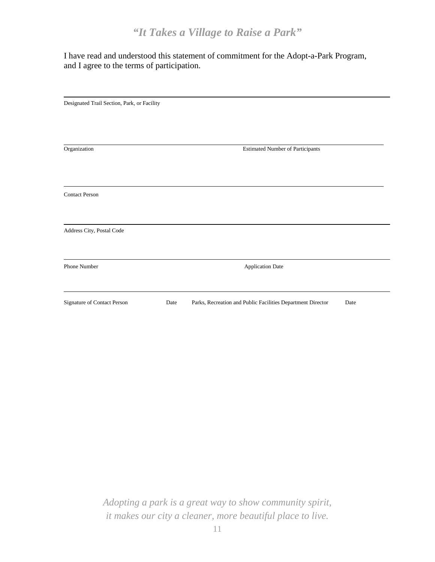I have read and understood this statement of commitment for the Adopt-a-Park Program, and I agree to the terms of participation.

| Designated Trail Section, Park, or Facility |      |                                                             |      |
|---------------------------------------------|------|-------------------------------------------------------------|------|
|                                             |      |                                                             |      |
|                                             |      |                                                             |      |
| Organization                                |      | <b>Estimated Number of Participants</b>                     |      |
|                                             |      |                                                             |      |
|                                             |      |                                                             |      |
| <b>Contact Person</b>                       |      |                                                             |      |
|                                             |      |                                                             |      |
| Address City, Postal Code                   |      |                                                             |      |
|                                             |      |                                                             |      |
| Phone Number                                |      | <b>Application Date</b>                                     |      |
|                                             |      |                                                             |      |
| Signature of Contact Person                 | Date | Parks, Recreation and Public Facilities Department Director | Date |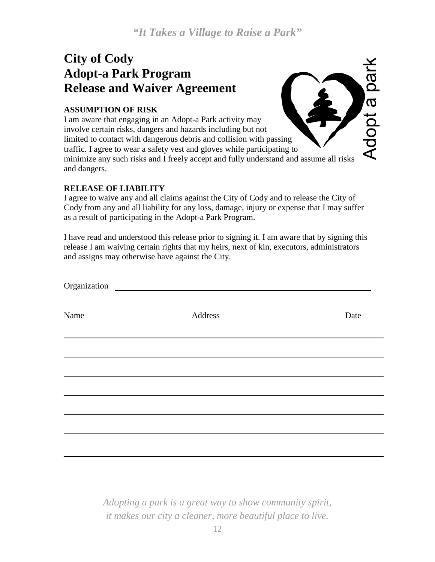Adopt a park

# **City of Cody Adopt-a Park Program Release and Waiver Agreement**

#### **ASSUMPTION OF RISK**

I am aware that engaging in an Adopt-a Park activity may involve certain risks, dangers and hazards including but not limited to contact with dangerous debris and collision with passing traffic. I agree to wear a safety vest and gloves while participating to minimize any such risks and I freely accept and fully understand and assume all risks and dangers.

#### **RELEASE OF LIABILITY**

I agree to waive any and all claims against the City of Cody and to release the City of Cody from any and all liability for any loss, damage, injury or expense that I may suffer as a result of participating in the Adopt-a Park Program.

I have read and understood this release prior to signing it. I am aware that by signing this release I am waiving certain rights that my heirs, next of kin, executors, administrators and assigns may otherwise have against the City.

| Name | Address | Date |
|------|---------|------|
|      |         |      |
|      |         |      |
|      |         |      |
|      |         |      |
|      |         |      |
|      |         |      |
|      |         |      |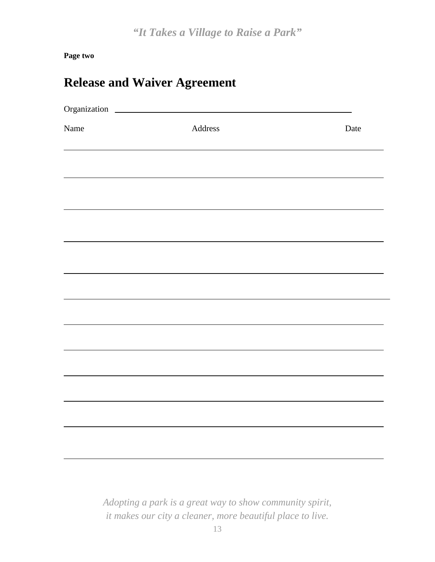**Page two**

| <b>Release and Waiver Agreement</b> |  |  |
|-------------------------------------|--|--|
|-------------------------------------|--|--|

| Organization |                       |      |
|--------------|-----------------------|------|
| Name         | $\label{p:1} Address$ | Date |
|              |                       |      |
|              |                       |      |
|              |                       |      |
|              |                       |      |
|              |                       |      |
|              |                       |      |
|              |                       |      |
|              |                       |      |
|              |                       |      |
|              |                       |      |
|              |                       |      |
|              |                       |      |
|              |                       |      |
|              |                       |      |
|              |                       |      |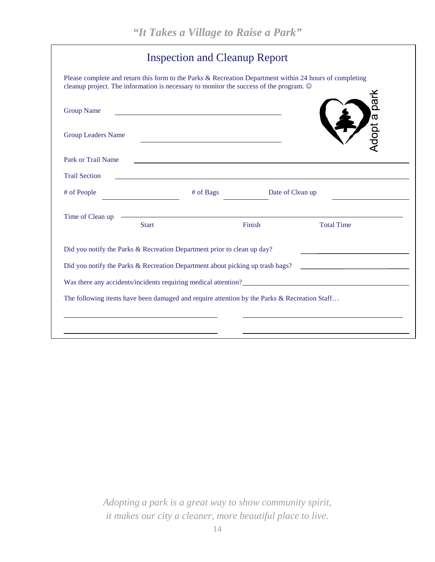|                           |              | <b>Inspection and Cleanup Report</b>                                                                                  |                                                                                                                                                                                                            |
|---------------------------|--------------|-----------------------------------------------------------------------------------------------------------------------|------------------------------------------------------------------------------------------------------------------------------------------------------------------------------------------------------------|
|                           |              | cleanup project. The information is necessary to monitor the success of the program. $\circledcirc$                   | Please complete and return this form to the Parks & Recreation Department within 24 hours of completing                                                                                                    |
| <b>Group Name</b>         |              |                                                                                                                       |                                                                                                                                                                                                            |
| <b>Group Leaders Name</b> |              |                                                                                                                       | Adopt a park                                                                                                                                                                                               |
| Park or Trail Name        |              |                                                                                                                       |                                                                                                                                                                                                            |
| <b>Trail Section</b>      |              | <u> 1989 - Johann Stoff, deutscher Stoff, der Stoff, der Stoff, der Stoff, der Stoff, der Stoff, der Stoff, der S</u> |                                                                                                                                                                                                            |
| # of People               |              | # of Bags                                                                                                             | Date of Clean up                                                                                                                                                                                           |
|                           |              | <u> 1989 - Johann Barn, amerikansk politiker (d. 1989)</u>                                                            |                                                                                                                                                                                                            |
| Time of Clean up          | <b>Start</b> | Finish                                                                                                                | <b>Total Time</b>                                                                                                                                                                                          |
|                           |              | Did you notify the Parks & Recreation Department prior to clean up day?                                               |                                                                                                                                                                                                            |
|                           |              | Did you notify the Parks & Recreation Department about picking up trash bags?                                         | <u> 1990 - Johann Barbara, martin a</u>                                                                                                                                                                    |
|                           |              |                                                                                                                       | Was there any accidents/incidents requiring medical attention?<br><u>Letter any</u> accidents/incidents requiring medical attention?<br><u>Letter any accidents/incidents</u> requiring medical attention? |
|                           |              | The following items have been damaged and require attention by the Parks & Recreation Staff                           |                                                                                                                                                                                                            |
|                           |              |                                                                                                                       |                                                                                                                                                                                                            |
|                           |              |                                                                                                                       |                                                                                                                                                                                                            |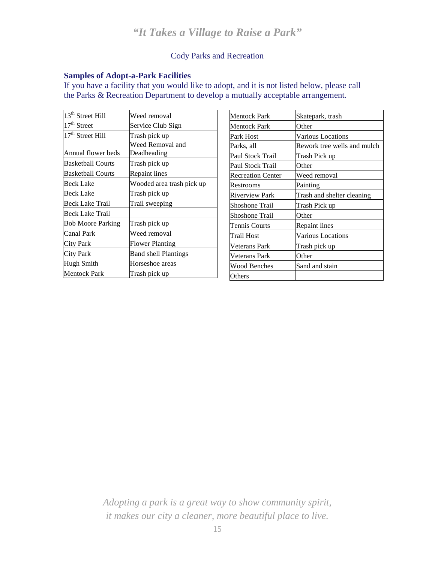#### Cody Parks and Recreation

#### **Samples of Adopt-a-Park Facilities**

If you have a facility that you would like to adopt, and it is not listed below, please call the Parks & Recreation Department to develop a mutually acceptable arrangement.

| 13 <sup>th</sup> Street Hill | Weed removal                |
|------------------------------|-----------------------------|
| $17th$ Street                | Service Club Sign           |
| 17 <sup>th</sup> Street Hill | Trash pick up               |
|                              | Weed Removal and            |
| Annual flower beds           | Deadheading                 |
| <b>Basketball Courts</b>     | Trash pick up               |
| <b>Basketball Courts</b>     | <b>Repaint lines</b>        |
| <b>Beck Lake</b>             | Wooded area trash pick up   |
| Beck Lake                    | Trash pick up               |
| Beck Lake Trail              | Trail sweeping              |
| Beck Lake Trail              |                             |
| <b>Bob Moore Parking</b>     | Trash pick up               |
| Canal Park                   | Weed removal                |
| <b>City Park</b>             | Flower Planting             |
| <b>City Park</b>             | <b>Band shell Plantings</b> |
| Hugh Smith                   | Horseshoe areas             |
| <b>Mentock Park</b>          | Trash pick up               |

| Mentock Park             | Skatepark, trash            |
|--------------------------|-----------------------------|
| Mentock Park             | Other                       |
| Park Host                | Various Locations           |
| Parks, all               | Rework tree wells and mulch |
| Paul Stock Trail         | Trash Pick up               |
| Paul Stock Trail         | Other                       |
| <b>Recreation Center</b> | Weed removal                |
| Restrooms                | Painting                    |
| <b>Riverview Park</b>    | Trash and shelter cleaning  |
| Shoshone Trail           | Trash Pick up               |
| Shoshone Trail           | Other                       |
| Tennis Courts            | Repaint lines               |
| Trail Host               | Various Locations           |
| <b>Veterans Park</b>     | Trash pick up               |
| Veterans Park            | Other                       |
| Wood Benches             | Sand and stain              |
| Others                   |                             |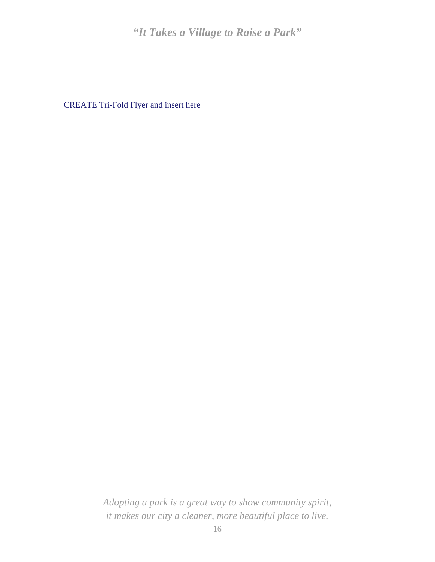CREATE Tri-Fold Flyer and insert here